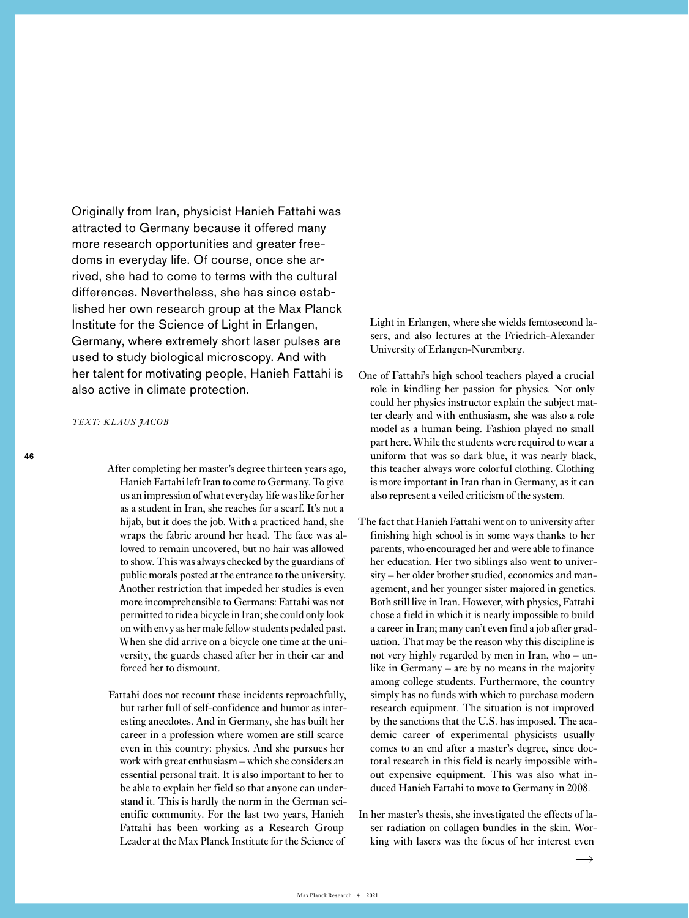Originally from Iran, physicist Hanieh Fattahi was attracted to Germany because it offered many more research opportunities and greater freedoms in everyday life. Of course, once she arrived, she had to come to terms with the cultural differences. Nevertheless, she has since established her own research group at the Max Planck Institute for the Science of Light in Erlangen, Germany, where extremely short laser pulses are used to study biological microscopy. And with her talent for motivating people, Hanieh Fattahi is also active in climate protection.

*TEXT: KLAUS JACOB*

After completing her master's degree thirteen years ago, Hanieh Fattahi left Iran to come to Germany. To give us an impression of what everyday life was like for her as a student in Iran, she reaches for a scarf. It's not a hijab, but it does the job. With a practiced hand, she wraps the fabric around her head. The face was allowed to remain uncovered, but no hair was allowed to show. This was always checked by the guardians of public morals posted at the entrance to the university. Another restriction that impeded her studies is even more incomprehensible to Germans: Fattahi was not permitted to ride a bicycle in Iran; she could only look on with envy as her male fellow students pedaled past. When she did arrive on a bicycle one time at the university, the guards chased after her in their car and forced her to dismount.

Fattahi does not recount these incidents reproachfully, but rather full of self-confidence and humor as interesting anecdotes. And in Germany, she has built her career in a profession where women are still scarce even in this country: physics. And she pursues her work with great enthusiasm – which she considers an essential personal trait. It is also important to her to be able to explain her field so that anyone can understand it. This is hardly the norm in the German scientific community. For the last two years, Hanieh Fattahi has been working as a Research Group Leader at the Max Planck Institute for the Science of

Light in Erlangen, where she wields femtosecond lasers, and also lectures at the Friedrich-Alexander University of Erlangen-Nuremberg.

- One of Fattahi's high school teachers played a crucial role in kindling her passion for physics. Not only could her physics instructor explain the subject matter clearly and with enthusiasm, she was also a role model as a human being. Fashion played no small part here. While the students were required to wear a uniform that was so dark blue, it was nearly black, this teacher always wore colorful clothing. Clothing is more important in Iran than in Germany, as it can also represent a veiled criticism of the system.
- The fact that Hanieh Fattahi went on to university after finishing high school is in some ways thanks to her parents, who encouraged her and were able to finance her education. Her two siblings also went to university – her older brother studied, economics and management, and her younger sister majored in genetics. Both still live in Iran. However, with physics, Fattahi chose a field in which it is nearly impossible to build a career in Iran; many can't even find a job after graduation. That may be the reason why this discipline is not very highly regarded by men in Iran, who – unlike in Germany – are by no means in the majority among college students. Furthermore, the country simply has no funds with which to purchase modern research equipment. The situation is not improved by the sanctions that the U.S. has imposed. The academic career of experimental physicists usually comes to an end after a master's degree, since doctoral research in this field is nearly impossible without expensive equipment. This was also what induced Hanieh Fattahi to move to Germany in 2008.
- In her master's thesis, she investigated the effects of laser radiation on collagen bundles in the skin. Working with lasers was the focus of her interest even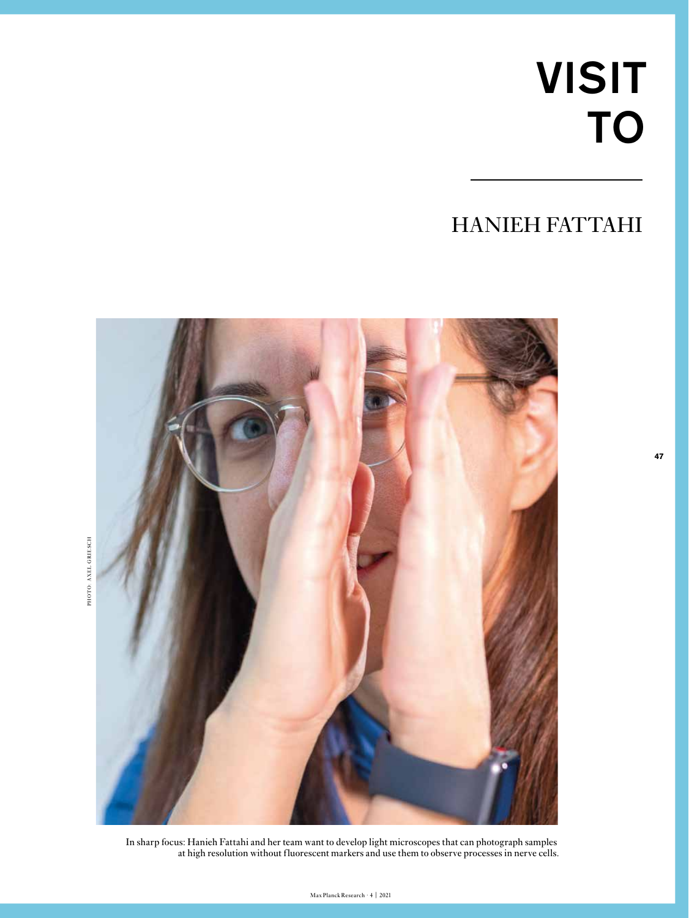## VISIT TO

**47**

## HANIEH FATTAHI



In sharp focus: Hanieh Fattahi and her team want to develop light microscopes that can photograph samples at high resolution without fluorescent markers and use them to observe processes in nerve cells.

PHOTO: AXEL GRIESCH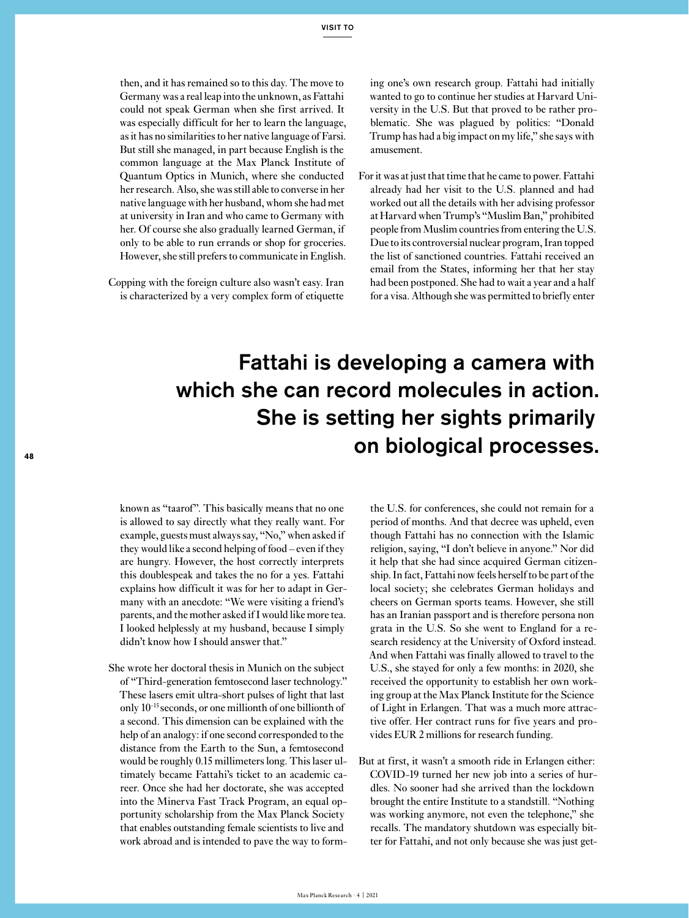then, and it has remained so to this day. The move to Germany was a real leap into the unknown, as Fattahi could not speak German when she first arrived. It was especially difficult for her to learn the language, as it has no similarities to her native language of Farsi. But still she managed, in part because English is the common language at the Max Planck Institute of Quantum Optics in Munich, where she conducted her research. Also, she was still able to converse in her native language with her husband, whom she had met at university in Iran and who came to Germany with her. Of course she also gradually learned German, if only to be able to run errands or shop for groceries. However, she still prefers to communicate in English.

Copping with the foreign culture also wasn't easy. Iran is characterized by a very complex form of etiquette ing one's own research group. Fattahi had initially wanted to go to continue her studies at Harvard University in the U.S. But that proved to be rather problematic. She was plagued by politics: "Donald Trump has had a big impact on my life," she says with amusement.

For it was at just that time that he came to power. Fattahi already had her visit to the U.S. planned and had worked out all the details with her advising professor at Harvard when Trump's "Muslim Ban," prohibited people from Muslim countries from entering the U.S. Due to its controversial nuclear program, Iran topped the list of sanctioned countries. Fattahi received an email from the States, informing her that her stay had been postponed. She had to wait a year and a half for a visa. Although she was permitted to briefly enter

## Fattahi is developing a camera with which she can record molecules in action. She is setting her sights primarily on biological processes. **<sup>48</sup>**

known as "taarof". This basically means that no one is allowed to say directly what they really want. For example, guests must always say, "No," when asked if they would like a second helping of food – even if they are hungry. However, the host correctly interprets this doublespeak and takes the no for a yes. Fattahi explains how difficult it was for her to adapt in Germany with an anecdote: "We were visiting a friend's parents, and the mother asked if I would like more tea. I looked helplessly at my husband, because I simply didn't know how I should answer that."

She wrote her doctoral thesis in Munich on the subject of "Third-generation femtosecond laser technology." These lasers emit ultra-short pulses of light that last only 10-15 seconds, or one millionth of one billionth of a second. This dimension can be explained with the help of an analogy: if one second corresponded to the distance from the Earth to the Sun, a femtosecond would be roughly 0.15 millimeters long. This laser ultimately became Fattahi's ticket to an academic career. Once she had her doctorate, she was accepted into the Minerva Fast Track Program, an equal opportunity scholarship from the Max Planck Society that enables outstanding female scientists to live and work abroad and is intended to pave the way to formthe U.S. for conferences, she could not remain for a period of months. And that decree was upheld, even though Fattahi has no connection with the Islamic religion, saying, "I don't believe in anyone." Nor did it help that she had since acquired German citizenship. In fact, Fattahi now feels herself to be part of the local society; she celebrates German holidays and cheers on German sports teams. However, she still has an Iranian passport and is therefore persona non grata in the U.S. So she went to England for a research residency at the University of Oxford instead. And when Fattahi was finally allowed to travel to the U.S., she stayed for only a few months: in 2020, she received the opportunity to establish her own working group at the Max Planck Institute for the Science of Light in Erlangen. That was a much more attractive offer. Her contract runs for five years and provides EUR 2 millions for research funding.

But at first, it wasn't a smooth ride in Erlangen either: COVID-19 turned her new job into a series of hurdles. No sooner had she arrived than the lockdown brought the entire Institute to a standstill. "Nothing was working anymore, not even the telephone," she recalls. The mandatory shutdown was especially bitter for Fattahi, and not only because she was just get-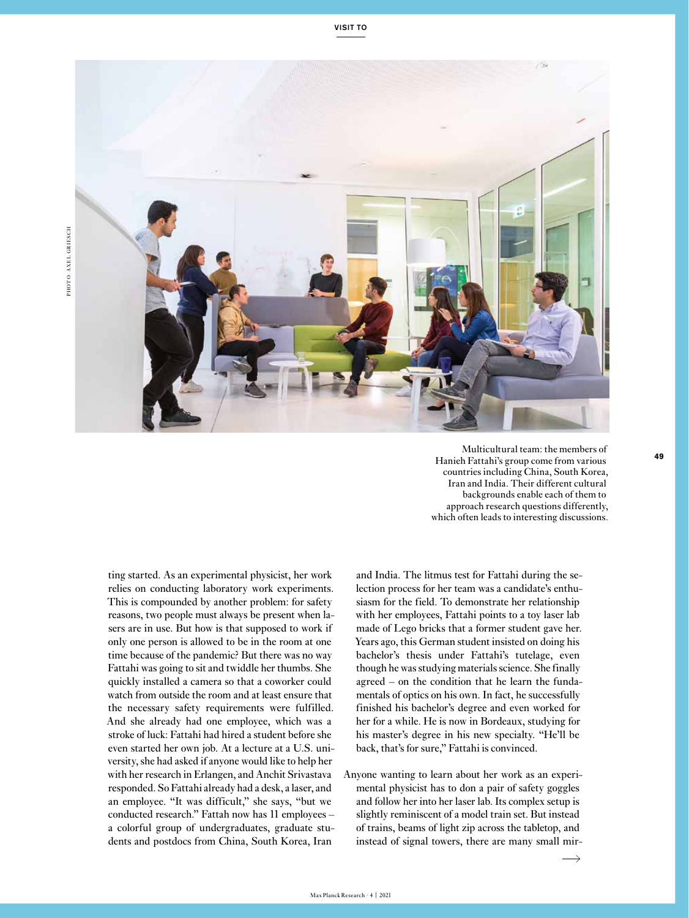

Multicultural team: the members of Hanieh Fattahi's group come from various countries including China, South Korea, Iran and India. Their different cultural backgrounds enable each of them to approach research questions differently, which often leads to interesting discussions.

ting started. As an experimental physicist, her work relies on conducting laboratory work experiments. This is compounded by another problem: for safety reasons, two people must always be present when lasers are in use. But how is that supposed to work if only one person is allowed to be in the room at one time because of the pandemic? But there was no way Fattahi was going to sit and twiddle her thumbs. She quickly installed a camera so that a coworker could watch from outside the room and at least ensure that the necessary safety requirements were fulfilled. And she already had one employee, which was a stroke of luck: Fattahi had hired a student before she even started her own job. At a lecture at a U.S. university, she had asked if anyone would like to help her with her research in Erlangen, and Anchit Srivastava responded. So Fattahi already had a desk, a laser, and an employee. "It was difficult," she says, "but we conducted research." Fattah now has 11 employees – a colorful group of undergraduates, graduate students and postdocs from China, South Korea, Iran

and India. The litmus test for Fattahi during the selection process for her team was a candidate's enthusiasm for the field. To demonstrate her relationship with her employees, Fattahi points to a toy laser lab made of Lego bricks that a former student gave her. Years ago, this German student insisted on doing his bachelor's thesis under Fattahi's tutelage, even though he was studying materials science. She finally agreed – on the condition that he learn the fundamentals of optics on his own. In fact, he successfully finished his bachelor's degree and even worked for her for a while. He is now in Bordeaux, studying for his master's degree in his new specialty. "He'll be back, that's for sure," Fattahi is convinced.

Anyone wanting to learn about her work as an experimental physicist has to don a pair of safety goggles and follow her into her laser lab. Its complex setup is slightly reminiscent of a model train set. But instead of trains, beams of light zip across the tabletop, and instead of signal towers, there are many small mir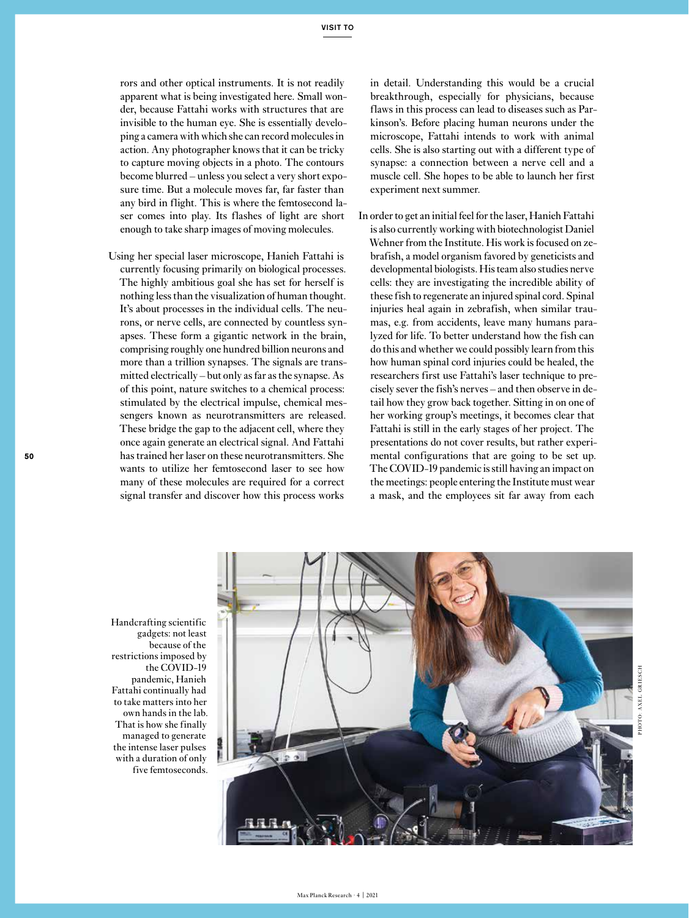rors and other optical instruments. It is not readily apparent what is being investigated here. Small wonder, because Fattahi works with structures that are invisible to the human eye. She is essentially developing a camera with which she can record molecules in action. Any photographer knows that it can be tricky to capture moving objects in a photo. The contours become blurred – unless you select a very short exposure time. But a molecule moves far, far faster than any bird in flight. This is where the femtosecond laser comes into play. Its flashes of light are short enough to take sharp images of moving molecules.

Using her special laser microscope, Hanieh Fattahi is currently focusing primarily on biological processes. The highly ambitious goal she has set for herself is nothing less than the visualization of human thought. It's about processes in the individual cells. The neurons, or nerve cells, are connected by countless synapses. These form a gigantic network in the brain, comprising roughly one hundred billion neurons and more than a trillion synapses. The signals are transmitted electrically – but only as far as the synapse. As of this point, nature switches to a chemical process: stimulated by the electrical impulse, chemical messengers known as neurotransmitters are released. These bridge the gap to the adjacent cell, where they once again generate an electrical signal. And Fattahi has trained her laser on these neurotransmitters. She wants to utilize her femtosecond laser to see how many of these molecules are required for a correct signal transfer and discover how this process works

in detail. Understanding this would be a crucial breakthrough, especially for physicians, because flaws in this process can lead to diseases such as Parkinson's. Before placing human neurons under the microscope, Fattahi intends to work with animal cells. She is also starting out with a different type of synapse: a connection between a nerve cell and a muscle cell. She hopes to be able to launch her first experiment next summer.

In order to get an initial feel for the laser, Hanieh Fattahi is also currently working with biotechnologist Daniel Wehner from the Institute. His work is focused on zebrafish, a model organism favored by geneticists and developmental biologists. His team also studies nerve cells: they are investigating the incredible ability of these fish to regenerate an injured spinal cord. Spinal injuries heal again in zebrafish, when similar traumas, e.g. from accidents, leave many humans paralyzed for life. To better understand how the fish can do this and whether we could possibly learn from this how human spinal cord injuries could be healed, the researchers first use Fattahi's laser technique to precisely sever the fish's nerves – and then observe in detail how they grow back together. Sitting in on one of her working group's meetings, it becomes clear that Fattahi is still in the early stages of her project. The presentations do not cover results, but rather experimental configurations that are going to be set up. The COVID-19 pandemic is still having an impact on the meetings: people entering the Institute must wear a mask, and the employees sit far away from each

Handcrafting scientific gadgets: not least because of the restrictions imposed by the COVID-19 pandemic, Hanieh Fattahi continually had to take matters into her own hands in the lab. That is how she finally managed to generate the intense laser pulses with a duration of only five femtoseconds.